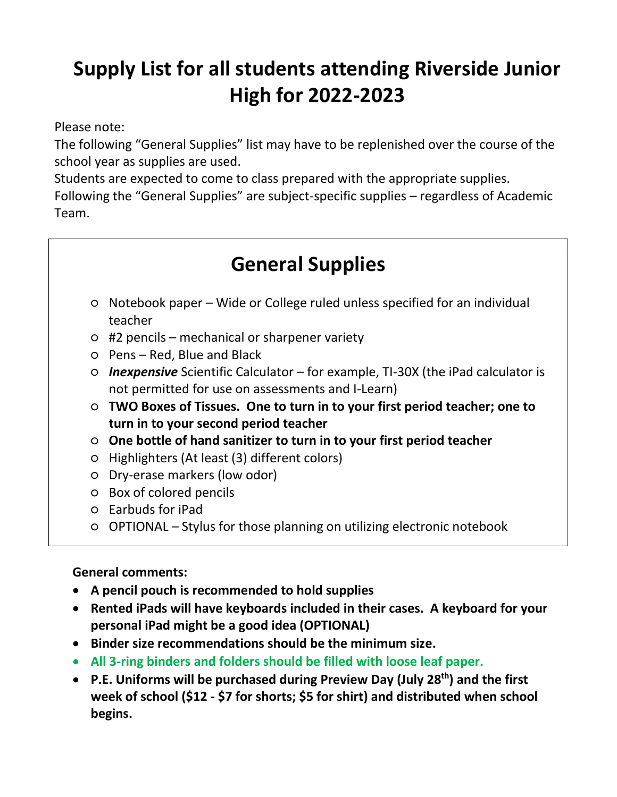# **Supply List for all students attending Riverside Junior High for 2022-2023**

Please note:

The following "General Supplies" list may have to be replenished over the course of the school year as supplies are used.

Students are expected to come to class prepared with the appropriate supplies.

Following the "General Supplies" are subject-specific supplies – regardless of Academic Team.

# **General Supplies**

- Notebook paper Wide or College ruled unless specified for an individual teacher
- #2 pencils mechanical or sharpener variety
- Pens Red, Blue and Black
- *Inexpensive* Scientific Calculator for example, TI-30X (the iPad calculator is not permitted for use on assessments and I-Learn)
- **TWO Boxes of Tissues. One to turn in to your first period teacher; one to turn in to your second period teacher**
- **One bottle of hand sanitizer to turn in to your first period teacher**
- Highlighters (At least (3) different colors)
- Dry-erase markers (low odor)
- Box of colored pencils
- Earbuds for iPad
- OPTIONAL Stylus for those planning on utilizing electronic notebook

# **General comments:**

- **A pencil pouch is recommended to hold supplies**
- **Rented iPads will have keyboards included in their cases. A keyboard for your personal iPad might be a good idea (OPTIONAL)**
- **Binder size recommendations should be the minimum size.**
- **All 3-ring binders and folders should be filled with loose leaf paper.**
- **P.E. Uniforms will be purchased during Preview Day (July 28th) and the first week of school (\$12 - \$7 for shorts; \$5 for shirt) and distributed when school begins.**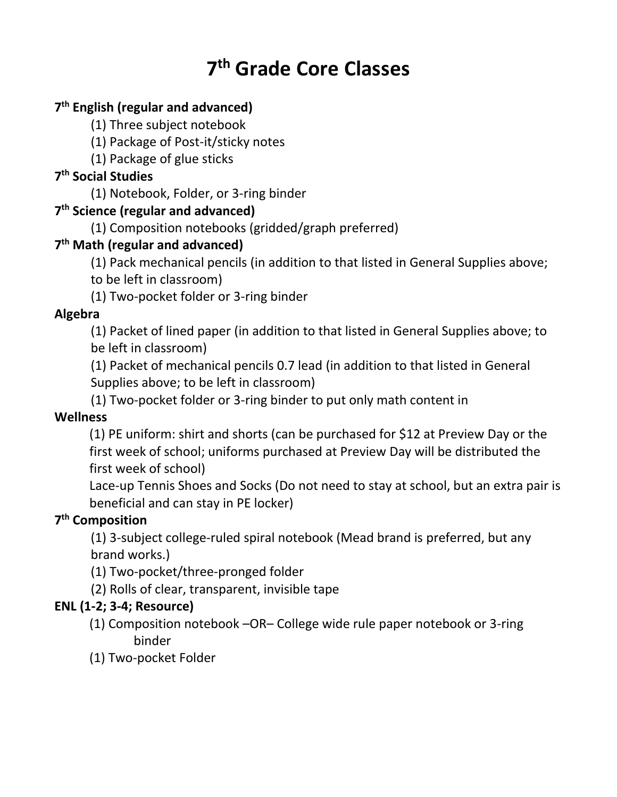# **7 th Grade Core Classes**

# **7 th English (regular and advanced)**

- (1) Three subject notebook
- (1) Package of Post-it/sticky notes
- (1) Package of glue sticks

# **7 th Social Studies**

(1) Notebook, Folder, or 3-ring binder

# **7 th Science (regular and advanced)**

(1) Composition notebooks (gridded/graph preferred)

# **7 th Math (regular and advanced)**

(1) Pack mechanical pencils (in addition to that listed in General Supplies above;

to be left in classroom)

(1) Two-pocket folder or 3-ring binder

# **Algebra**

(1) Packet of lined paper (in addition to that listed in General Supplies above; to be left in classroom)

(1) Packet of mechanical pencils 0.7 lead (in addition to that listed in General Supplies above; to be left in classroom)

(1) Two-pocket folder or 3-ring binder to put only math content in

# **Wellness**

(1) PE uniform: shirt and shorts (can be purchased for \$12 at Preview Day or the first week of school; uniforms purchased at Preview Day will be distributed the first week of school)

Lace-up Tennis Shoes and Socks (Do not need to stay at school, but an extra pair is beneficial and can stay in PE locker)

# **7 th Composition**

(1) 3-subject college-ruled spiral notebook (Mead brand is preferred, but any brand works.)

- (1) Two-pocket/three-pronged folder
- (2) Rolls of clear, transparent, invisible tape

#### **ENL (1-2; 3-4; Resource)**

- (1) Composition notebook –OR– College wide rule paper notebook or 3-ring binder
- (1) Two-pocket Folder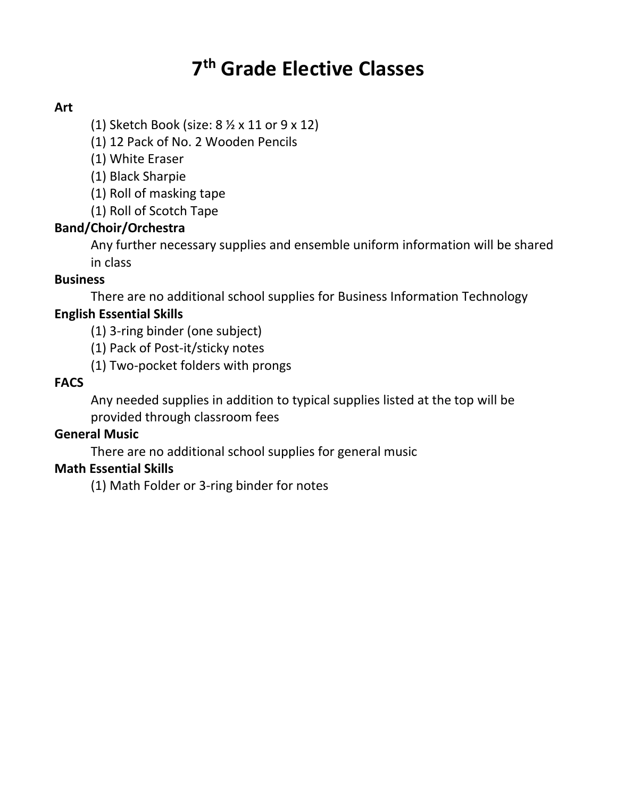# **7 th Grade Elective Classes**

#### **Art**

(1) Sketch Book (size: 8 ½ x 11 or 9 x 12)

(1) 12 Pack of No. 2 Wooden Pencils

(1) White Eraser

(1) Black Sharpie

(1) Roll of masking tape

(1) Roll of Scotch Tape

#### **Band/Choir/Orchestra**

Any further necessary supplies and ensemble uniform information will be shared in class

#### **Business**

There are no additional school supplies for Business Information Technology

#### **English Essential Skills**

(1) 3-ring binder (one subject)

- (1) Pack of Post-it/sticky notes
- (1) Two-pocket folders with prongs

#### **FACS**

Any needed supplies in addition to typical supplies listed at the top will be provided through classroom fees

#### **General Music**

There are no additional school supplies for general music

#### **Math Essential Skills**

(1) Math Folder or 3-ring binder for notes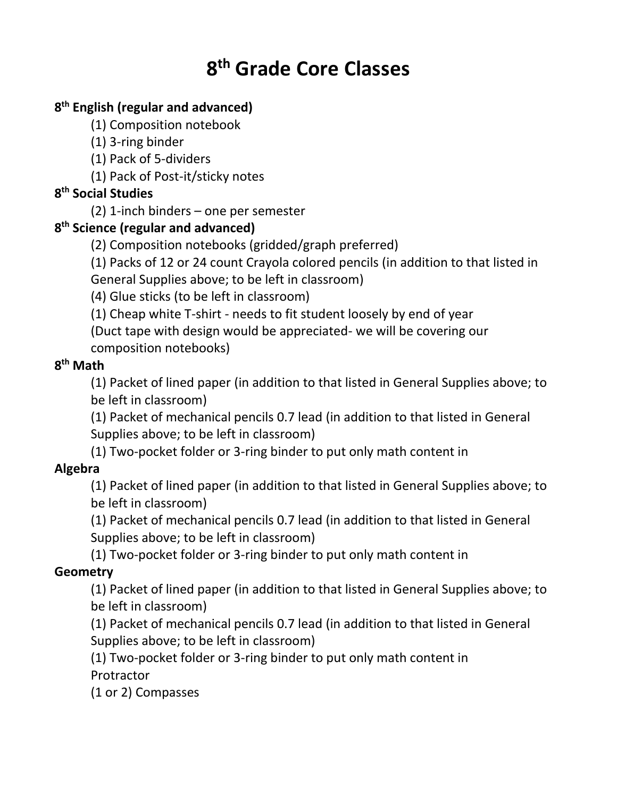# **8 th Grade Core Classes**

# **8 th English (regular and advanced)**

- (1) Composition notebook
- (1) 3-ring binder
- (1) Pack of 5-dividers
- (1) Pack of Post-it/sticky notes

# **8 th Social Studies**

(2) 1-inch binders – one per semester

# **8 th Science (regular and advanced)**

- (2) Composition notebooks (gridded/graph preferred)
- (1) Packs of 12 or 24 count Crayola colored pencils (in addition to that listed in

General Supplies above; to be left in classroom)

(4) Glue sticks (to be left in classroom)

(1) Cheap white T-shirt - needs to fit student loosely by end of year

(Duct tape with design would be appreciated- we will be covering our composition notebooks)

# **8 th Math**

(1) Packet of lined paper (in addition to that listed in General Supplies above; to be left in classroom)

(1) Packet of mechanical pencils 0.7 lead (in addition to that listed in General Supplies above; to be left in classroom)

(1) Two-pocket folder or 3-ring binder to put only math content in

# **Algebra**

(1) Packet of lined paper (in addition to that listed in General Supplies above; to be left in classroom)

(1) Packet of mechanical pencils 0.7 lead (in addition to that listed in General Supplies above; to be left in classroom)

(1) Two-pocket folder or 3-ring binder to put only math content in

# **Geometry**

(1) Packet of lined paper (in addition to that listed in General Supplies above; to be left in classroom)

(1) Packet of mechanical pencils 0.7 lead (in addition to that listed in General Supplies above; to be left in classroom)

(1) Two-pocket folder or 3-ring binder to put only math content in **Protractor** 

(1 or 2) Compasses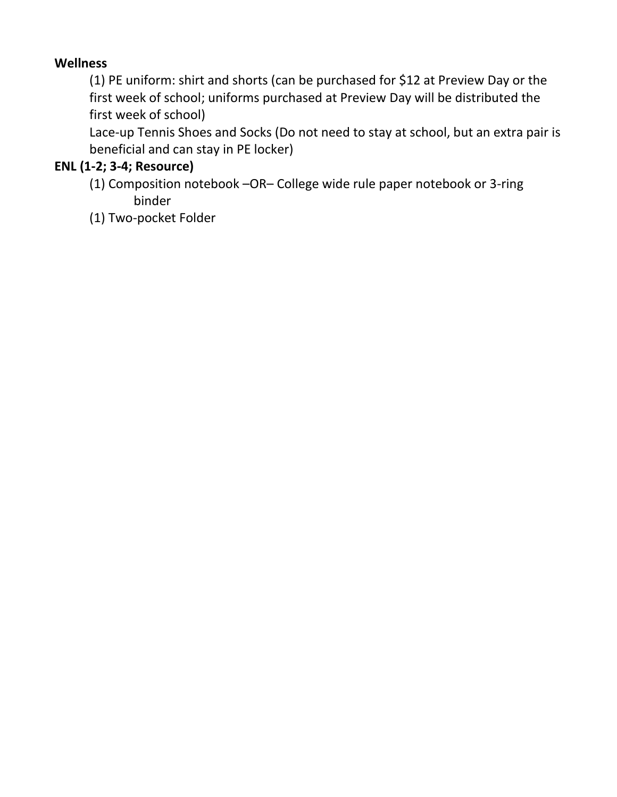### **Wellness**

(1) PE uniform: shirt and shorts (can be purchased for \$12 at Preview Day or the first week of school; uniforms purchased at Preview Day will be distributed the first week of school)

Lace-up Tennis Shoes and Socks (Do not need to stay at school, but an extra pair is beneficial and can stay in PE locker)

### **ENL (1-2; 3-4; Resource)**

- (1) Composition notebook –OR– College wide rule paper notebook or 3-ring binder
- (1) Two-pocket Folder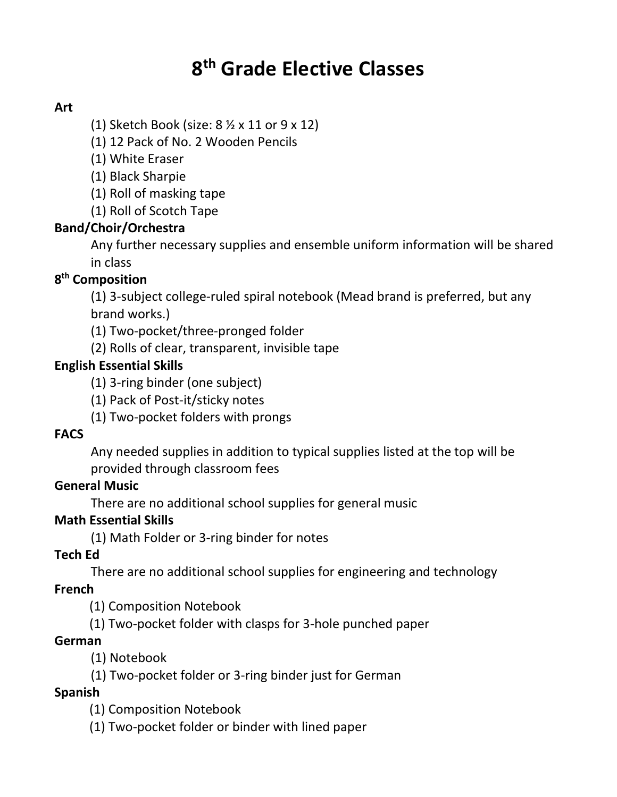# **8 th Grade Elective Classes**

# **Art**

(1) Sketch Book (size: 8 ½ x 11 or 9 x 12)

(1) 12 Pack of No. 2 Wooden Pencils

(1) White Eraser

(1) Black Sharpie

(1) Roll of masking tape

(1) Roll of Scotch Tape

### **Band/Choir/Orchestra**

Any further necessary supplies and ensemble uniform information will be shared in class

### **8 th Composition**

(1) 3-subject college-ruled spiral notebook (Mead brand is preferred, but any brand works.)

(1) Two-pocket/three-pronged folder

(2) Rolls of clear, transparent, invisible tape

### **English Essential Skills**

- (1) 3-ring binder (one subject)
- (1) Pack of Post-it/sticky notes
- (1) Two-pocket folders with prongs

#### **FACS**

Any needed supplies in addition to typical supplies listed at the top will be provided through classroom fees

#### **General Music**

There are no additional school supplies for general music

#### **Math Essential Skills**

(1) Math Folder or 3-ring binder for notes

#### **Tech Ed**

There are no additional school supplies for engineering and technology

#### **French**

(1) Composition Notebook

(1) Two-pocket folder with clasps for 3-hole punched paper

#### **German**

(1) Notebook

(1) Two-pocket folder or 3-ring binder just for German

#### **Spanish**

(1) Composition Notebook

(1) Two-pocket folder or binder with lined paper